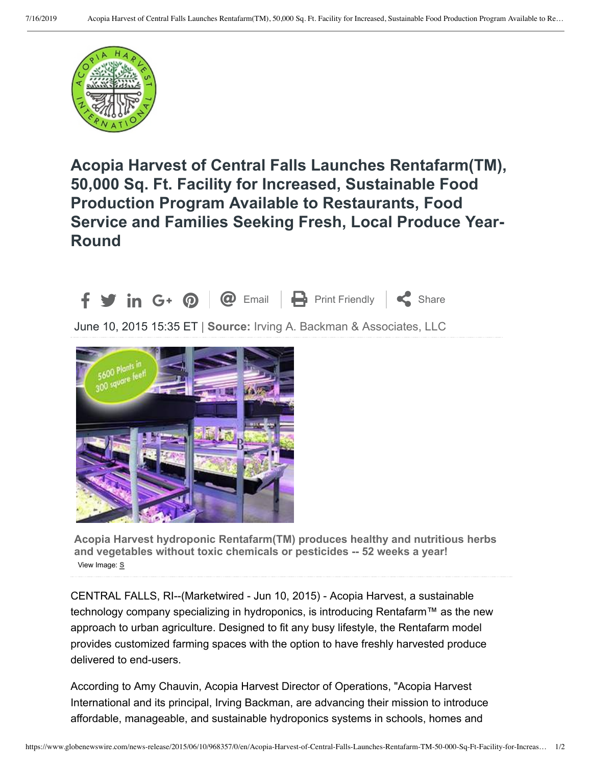

## Acopia Harvest of Central Falls Launches Rentafarm(TM), **50,000 Sq. Ft. Facility for Increased, Sustainable Food Production Program Available to Restaurants, Food Service and Families Seeking Fresh, Local Produce Year-Round**



June 10, 2015 15:35 ET | Source: Irving A. Backman & Associates, LLC



Acopia Harvest hydroponic Rentafarm(TM) produces healthy and nutritious herbs **and vegetables without toxic chemicals or pesticides -- 52 weeks a year!** View Image: **S**

CENTRAL FALLS, RI--(Marketwired - Jun 10, 2015) - Acopia Harvest, a sustainable technology company specializing in hydroponics, is introducing Rentafarm™ as the new approach to urban agriculture. Designed to fit any busy lifestyle, the Rentafarm model provides customized farming spaces with the option to have freshly harvested produce delivered to end-users.

According to Amy Chauvin, Acopia Harvest Director of Operations, "Acopia Harvest" International and its principal, Irving Backman, are advancing their mission to introduce affordable, manageable, and sustainable hydroponics systems in schools, homes and